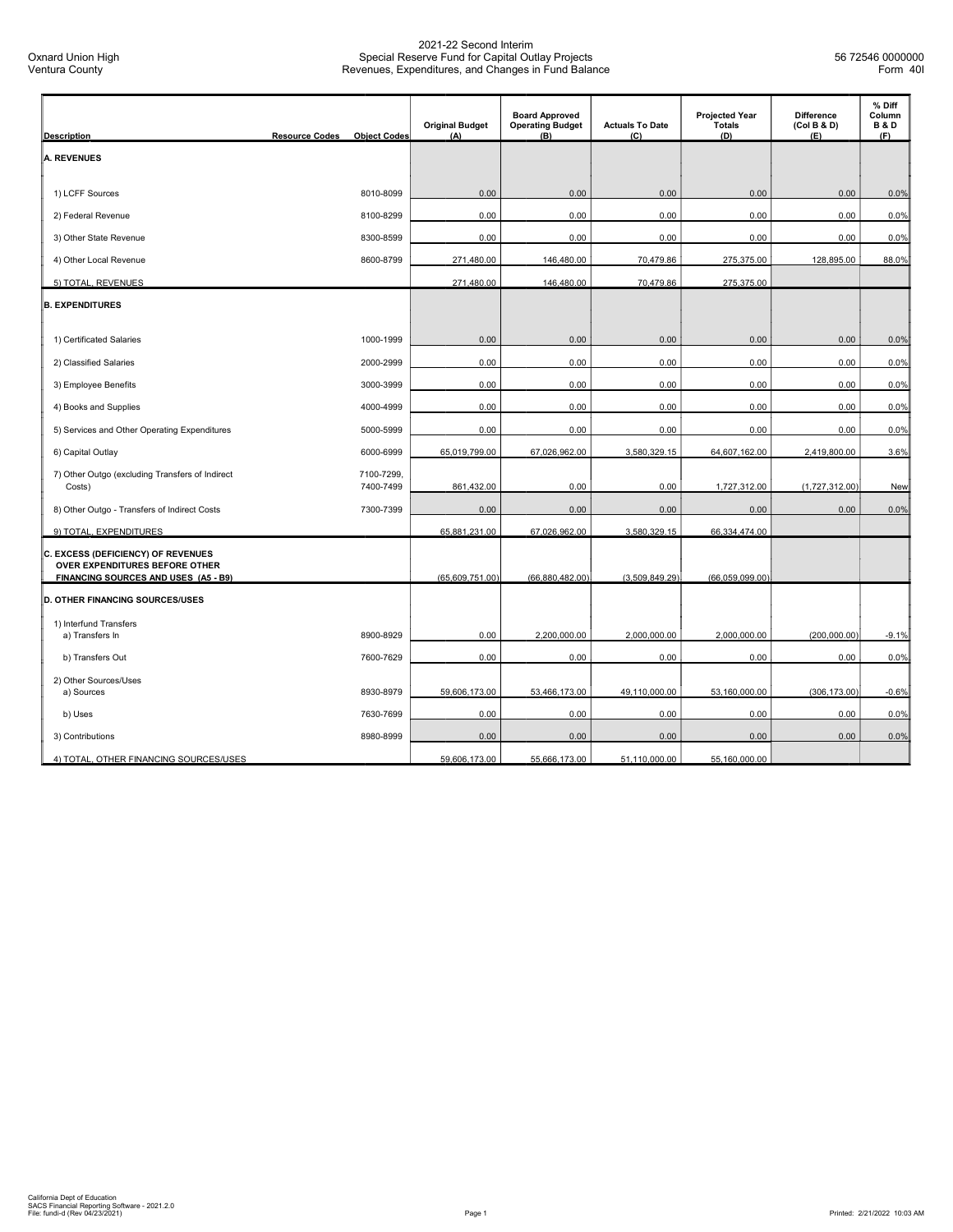|                                                                                                              |                                              | <b>Original Budget</b> | <b>Board Approved</b><br><b>Operating Budget</b> | <b>Actuals To Date</b> | <b>Projected Year</b><br><b>Totals</b> | <b>Difference</b><br>(Col B & D) | % Diff<br>Column<br><b>B&amp;D</b> |
|--------------------------------------------------------------------------------------------------------------|----------------------------------------------|------------------------|--------------------------------------------------|------------------------|----------------------------------------|----------------------------------|------------------------------------|
| <b>Description</b>                                                                                           | <b>Resource Codes</b><br><b>Object Codes</b> | (A)                    | (B)                                              | (C)                    | (D)                                    | (E)                              | (F)                                |
| <b>A. REVENUES</b>                                                                                           |                                              |                        |                                                  |                        |                                        |                                  |                                    |
| 1) LCFF Sources                                                                                              | 8010-8099                                    | 0.00                   | 0.00                                             | 0.00                   | 0.00                                   | 0.00                             | 0.0%                               |
| 2) Federal Revenue                                                                                           | 8100-8299                                    | 0.00                   | 0.00                                             | 0.00                   | 0.00                                   | 0.00                             | 0.0%                               |
| 3) Other State Revenue                                                                                       | 8300-8599                                    | 0.00                   | 0.00                                             | 0.00                   | 0.00                                   | 0.00                             | 0.0%                               |
| 4) Other Local Revenue                                                                                       | 8600-8799                                    | 271,480.00             | 146,480.00                                       | 70,479.86              | 275,375.00                             | 128,895.00                       | 88.0%                              |
| 5) TOTAL, REVENUES                                                                                           |                                              | 271,480.00             | 146,480.00                                       | 70,479.86              | 275,375.00                             |                                  |                                    |
| <b>B. EXPENDITURES</b>                                                                                       |                                              |                        |                                                  |                        |                                        |                                  |                                    |
| 1) Certificated Salaries                                                                                     | 1000-1999                                    | 0.00                   | 0.00                                             | 0.00                   | 0.00                                   | 0.00                             | 0.0%                               |
| 2) Classified Salaries                                                                                       | 2000-2999                                    | 0.00                   | 0.00                                             | 0.00                   | 0.00                                   | 0.00                             | 0.0%                               |
| 3) Employee Benefits                                                                                         | 3000-3999                                    | 0.00                   | 0.00                                             | 0.00                   | 0.00                                   | 0.00                             | 0.0%                               |
| 4) Books and Supplies                                                                                        | 4000-4999                                    | 0.00                   | 0.00                                             | 0.00                   | 0.00                                   | 0.00                             | 0.0%                               |
| 5) Services and Other Operating Expenditures                                                                 | 5000-5999                                    | 0.00                   | 0.00                                             | 0.00                   | 0.00                                   | 0.00                             | 0.0%                               |
| 6) Capital Outlay                                                                                            | 6000-6999                                    | 65,019,799.00          | 67,026,962.00                                    | 3,580,329.15           | 64,607,162.00                          | 2,419,800.00                     | 3.6%                               |
| 7) Other Outgo (excluding Transfers of Indirect<br>Costs)                                                    | 7100-7299.<br>7400-7499                      | 861,432.00             | 0.00                                             | 0.00                   | 1,727,312.00                           | (1,727,312.00)                   | New                                |
| 8) Other Outgo - Transfers of Indirect Costs                                                                 | 7300-7399                                    | 0.00                   | 0.00                                             | 0.00                   | 0.00                                   | 0.00                             | 0.0%                               |
| 9) TOTAL, EXPENDITURES                                                                                       |                                              | 65,881,231.00          | 67,026,962.00                                    | 3,580,329.15           | 66,334,474.00                          |                                  |                                    |
| C. EXCESS (DEFICIENCY) OF REVENUES<br>OVER EXPENDITURES BEFORE OTHER<br>FINANCING SOURCES AND USES (A5 - B9) |                                              | (65,609,751.00)        | (66,880,482.00)                                  | (3,509,849.29)         | (66,059,099.00)                        |                                  |                                    |
| <b>D. OTHER FINANCING SOURCES/USES</b>                                                                       |                                              |                        |                                                  |                        |                                        |                                  |                                    |
| 1) Interfund Transfers                                                                                       |                                              |                        |                                                  |                        |                                        |                                  |                                    |
| a) Transfers In                                                                                              | 8900-8929                                    | 0.00                   | 2,200,000.00                                     | 2,000,000.00           | 2,000,000.00                           | (200,000.00)                     | $-9.1%$                            |
| b) Transfers Out                                                                                             | 7600-7629                                    | 0.00                   | 0.00                                             | 0.00                   | 0.00                                   | 0.00                             | 0.0%                               |
| 2) Other Sources/Uses<br>a) Sources                                                                          | 8930-8979                                    | 59,606,173.00          | 53,466,173.00                                    | 49,110,000.00          | 53,160,000.00                          | (306, 173.00)                    | $-0.6%$                            |
| b) Uses                                                                                                      | 7630-7699                                    | 0.00                   | 0.00                                             | 0.00                   | 0.00                                   | 0.00                             | 0.0%                               |
| 3) Contributions                                                                                             | 8980-8999                                    | 0.00                   | 0.00                                             | 0.00                   | 0.00                                   | 0.00                             | 0.0%                               |
| 4) TOTAL, OTHER FINANCING SOURCES/USES                                                                       |                                              | 59,606,173.00          | 55,666,173.00                                    | 51,110,000.00          | 55,160,000.00                          |                                  |                                    |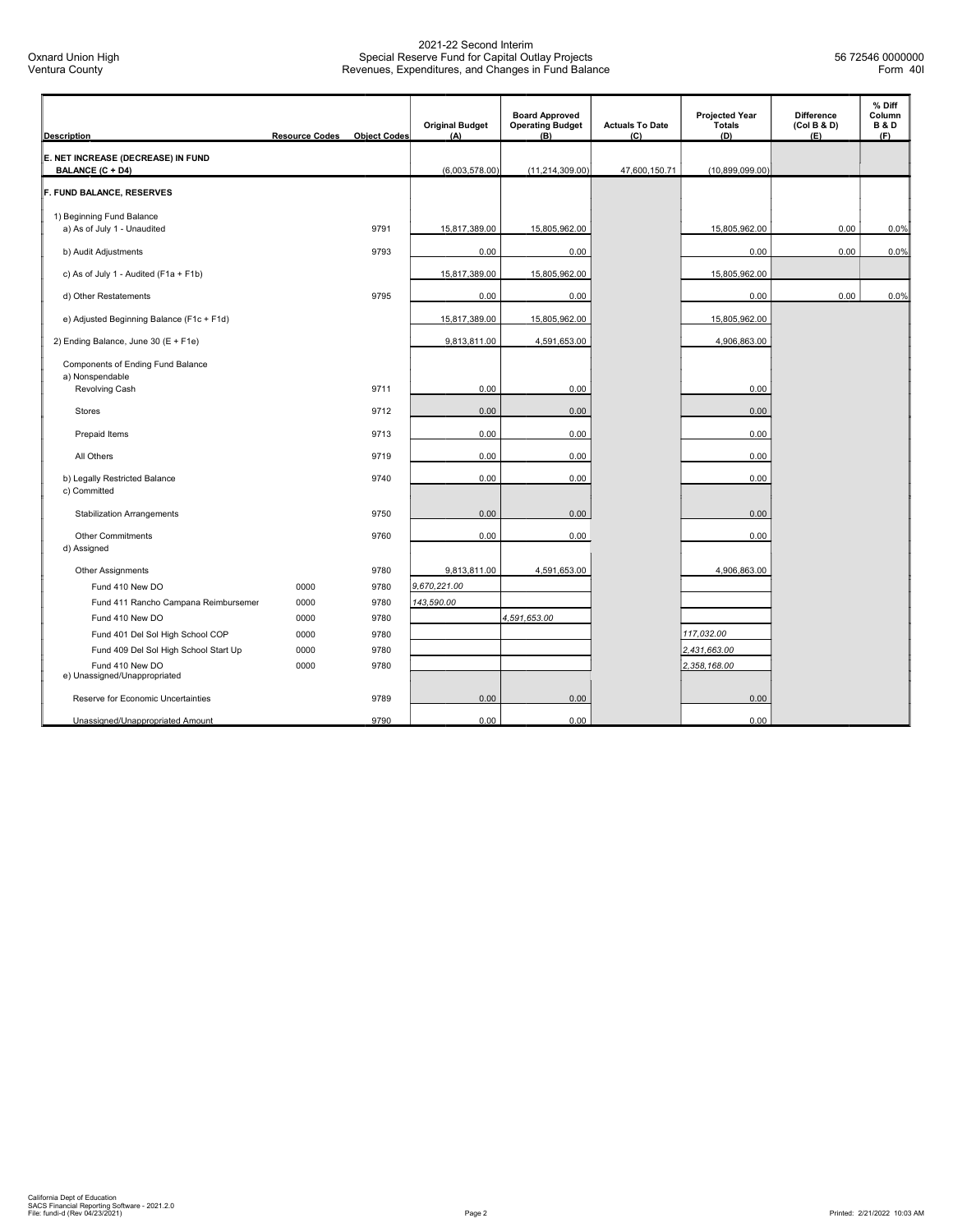| <b>Description</b>                                     | <b>Resource Codes</b> | <b>Object Codes</b> | <b>Original Budget</b><br>(A) | <b>Board Approved</b><br><b>Operating Budget</b><br>(B) | <b>Actuals To Date</b><br>(C) | <b>Projected Year</b><br><b>Totals</b><br>(D) | <b>Difference</b><br>(Col B & D)<br>(E) | % Diff<br>Column<br><b>B&amp;D</b><br>(F) |
|--------------------------------------------------------|-----------------------|---------------------|-------------------------------|---------------------------------------------------------|-------------------------------|-----------------------------------------------|-----------------------------------------|-------------------------------------------|
|                                                        |                       |                     |                               |                                                         |                               |                                               |                                         |                                           |
| E. NET INCREASE (DECREASE) IN FUND<br>BALANCE (C + D4) |                       |                     | (6,003,578.00)                | (11, 214, 309.00)                                       | 47,600,150.71                 | (10,899,099.00)                               |                                         |                                           |
| F. FUND BALANCE, RESERVES                              |                       |                     |                               |                                                         |                               |                                               |                                         |                                           |
|                                                        |                       |                     |                               |                                                         |                               |                                               |                                         |                                           |
| 1) Beginning Fund Balance                              |                       |                     |                               |                                                         |                               |                                               |                                         |                                           |
| a) As of July 1 - Unaudited                            |                       | 9791                | 15,817,389.00                 | 15,805,962.00                                           |                               | 15,805,962.00                                 | 0.00                                    | 0.0%                                      |
| b) Audit Adjustments                                   |                       | 9793                | 0.00                          | 0.00                                                    |                               | 0.00                                          | 0.00                                    | 0.0%                                      |
| c) As of July 1 - Audited (F1a + F1b)                  |                       |                     | 15,817,389.00                 | 15,805,962.00                                           |                               | 15,805,962.00                                 |                                         |                                           |
| d) Other Restatements                                  |                       | 9795                | 0.00                          | 0.00                                                    |                               | 0.00                                          | 0.00                                    | 0.0%                                      |
| e) Adjusted Beginning Balance (F1c + F1d)              |                       |                     | 15,817,389.00                 | 15,805,962.00                                           |                               | 15,805,962.00                                 |                                         |                                           |
| 2) Ending Balance, June 30 (E + F1e)                   |                       |                     | 9,813,811.00                  | 4,591,653.00                                            |                               | 4,906,863.00                                  |                                         |                                           |
| Components of Ending Fund Balance                      |                       |                     |                               |                                                         |                               |                                               |                                         |                                           |
| a) Nonspendable                                        |                       |                     |                               |                                                         |                               |                                               |                                         |                                           |
| Revolving Cash                                         |                       | 9711                | 0.00                          | 0.00                                                    |                               | 0.00                                          |                                         |                                           |
| <b>Stores</b>                                          |                       | 9712                | 0.00                          | 0.00                                                    |                               | 0.00                                          |                                         |                                           |
| Prepaid Items                                          |                       | 9713                | 0.00                          | 0.00                                                    |                               | 0.00                                          |                                         |                                           |
| All Others                                             |                       | 9719                | 0.00                          | 0.00                                                    |                               | 0.00                                          |                                         |                                           |
| b) Legally Restricted Balance                          |                       | 9740                | 0.00                          | 0.00                                                    |                               | 0.00                                          |                                         |                                           |
| c) Committed                                           |                       |                     |                               |                                                         |                               |                                               |                                         |                                           |
| <b>Stabilization Arrangements</b>                      |                       | 9750                | 0.00                          | 0.00                                                    |                               | 0.00                                          |                                         |                                           |
| <b>Other Commitments</b>                               |                       | 9760                | 0.00                          | 0.00                                                    |                               | 0.00                                          |                                         |                                           |
| d) Assigned                                            |                       |                     |                               |                                                         |                               |                                               |                                         |                                           |
| <b>Other Assignments</b>                               |                       | 9780                | 9,813,811.00                  | 4,591,653.00                                            |                               | 4,906,863.00                                  |                                         |                                           |
| Fund 410 New DO                                        | 0000                  | 9780                | 9,670,221.00                  |                                                         |                               |                                               |                                         |                                           |
| Fund 411 Rancho Campana Reimbursemer                   | 0000                  | 9780                | 143,590.00                    |                                                         |                               |                                               |                                         |                                           |
| Fund 410 New DO                                        | 0000                  | 9780                |                               | 4,591,653.00                                            |                               |                                               |                                         |                                           |
| Fund 401 Del Sol High School COP                       | 0000                  | 9780                |                               |                                                         |                               | 117,032.00                                    |                                         |                                           |
| Fund 409 Del Sol High School Start Up                  | 0000                  | 9780                |                               |                                                         |                               | 2,431,663.00                                  |                                         |                                           |
| Fund 410 New DO<br>e) Unassigned/Unappropriated        | 0000                  | 9780                |                               |                                                         |                               | 2,358,168.00                                  |                                         |                                           |
| Reserve for Economic Uncertainties                     |                       | 9789                | 0.00                          | 0.00                                                    |                               | 0.00                                          |                                         |                                           |
| Unassigned/Unappropriated Amount                       |                       | 9790                | 0.00                          | 0.00                                                    |                               | 0.00                                          |                                         |                                           |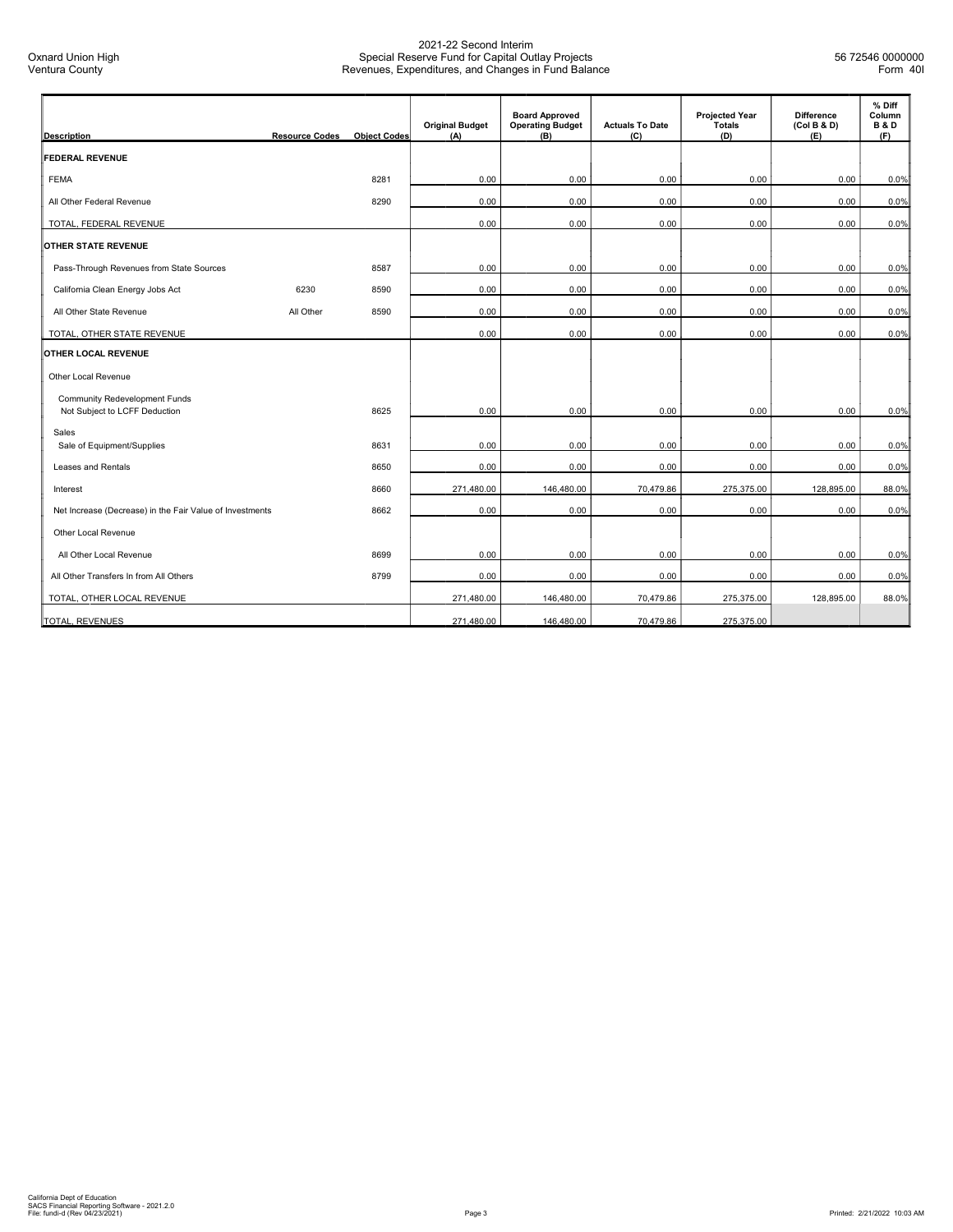| <b>Description</b>                                                    | <b>Resource Codes</b> | <b>Object Codes</b> | <b>Original Budget</b><br>(A) | <b>Board Approved</b><br><b>Operating Budget</b><br>(B) | <b>Actuals To Date</b><br>(C) | <b>Projected Year</b><br><b>Totals</b><br>(D) | <b>Difference</b><br>(Col B & D)<br>(E) | % Diff<br>Column<br><b>B&amp;D</b><br>(F) |
|-----------------------------------------------------------------------|-----------------------|---------------------|-------------------------------|---------------------------------------------------------|-------------------------------|-----------------------------------------------|-----------------------------------------|-------------------------------------------|
| <b>FEDERAL REVENUE</b>                                                |                       |                     |                               |                                                         |                               |                                               |                                         |                                           |
| <b>FEMA</b>                                                           |                       | 8281                | 0.00                          | 0.00                                                    | 0.00                          | 0.00                                          | 0.00                                    | 0.0%                                      |
| All Other Federal Revenue                                             |                       | 8290                | 0.00                          | 0.00                                                    | 0.00                          | 0.00                                          | 0.00                                    | 0.0%                                      |
| TOTAL, FEDERAL REVENUE                                                |                       |                     | 0.00                          | 0.00                                                    | 0.00                          | 0.00                                          | 0.00                                    | 0.0%                                      |
| <b>OTHER STATE REVENUE</b>                                            |                       |                     |                               |                                                         |                               |                                               |                                         |                                           |
| Pass-Through Revenues from State Sources                              |                       | 8587                | 0.00                          | 0.00                                                    | 0.00                          | 0.00                                          | 0.00                                    | 0.0%                                      |
| California Clean Energy Jobs Act                                      | 6230                  | 8590                | 0.00                          | 0.00                                                    | 0.00                          | 0.00                                          | 0.00                                    | 0.0%                                      |
| All Other State Revenue                                               | All Other             | 8590                | 0.00                          | 0.00                                                    | 0.00                          | 0.00                                          | 0.00                                    | 0.0%                                      |
| TOTAL, OTHER STATE REVENUE                                            |                       |                     | 0.00                          | 0.00                                                    | 0.00                          | 0.00                                          | 0.00                                    | 0.0%                                      |
| <b>OTHER LOCAL REVENUE</b>                                            |                       |                     |                               |                                                         |                               |                                               |                                         |                                           |
| Other Local Revenue                                                   |                       |                     |                               |                                                         |                               |                                               |                                         |                                           |
| <b>Community Redevelopment Funds</b><br>Not Subject to LCFF Deduction |                       | 8625                | 0.00                          | 0.00                                                    | 0.00                          | 0.00                                          | 0.00                                    | 0.0%                                      |
| Sales<br>Sale of Equipment/Supplies                                   |                       | 8631                | 0.00                          | 0.00                                                    | 0.00                          | 0.00                                          | 0.00                                    | 0.0%                                      |
| Leases and Rentals                                                    |                       | 8650                | 0.00                          | 0.00                                                    | 0.00                          | 0.00                                          | 0.00                                    | 0.0%                                      |
| Interest                                                              |                       | 8660                | 271,480.00                    | 146,480.00                                              | 70,479.86                     | 275,375.00                                    | 128,895.00                              | 88.0%                                     |
| Net Increase (Decrease) in the Fair Value of Investments              |                       | 8662                | 0.00                          | 0.00                                                    | 0.00                          | 0.00                                          | 0.00                                    | 0.0%                                      |
| <b>Other Local Revenue</b>                                            |                       |                     |                               |                                                         |                               |                                               |                                         |                                           |
| All Other Local Revenue                                               |                       | 8699                | 0.00                          | 0.00                                                    | 0.00                          | 0.00                                          | 0.00                                    | 0.0%                                      |
| All Other Transfers In from All Others                                |                       | 8799                | 0.00                          | 0.00                                                    | 0.00                          | 0.00                                          | 0.00                                    | 0.0%                                      |
| TOTAL, OTHER LOCAL REVENUE                                            |                       |                     | 271,480.00                    | 146,480.00                                              | 70,479.86                     | 275,375.00                                    | 128,895.00                              | 88.0%                                     |
| TOTAL, REVENUES                                                       |                       |                     | 271,480.00                    | 146,480.00                                              | 70,479.86                     | 275,375.00                                    |                                         |                                           |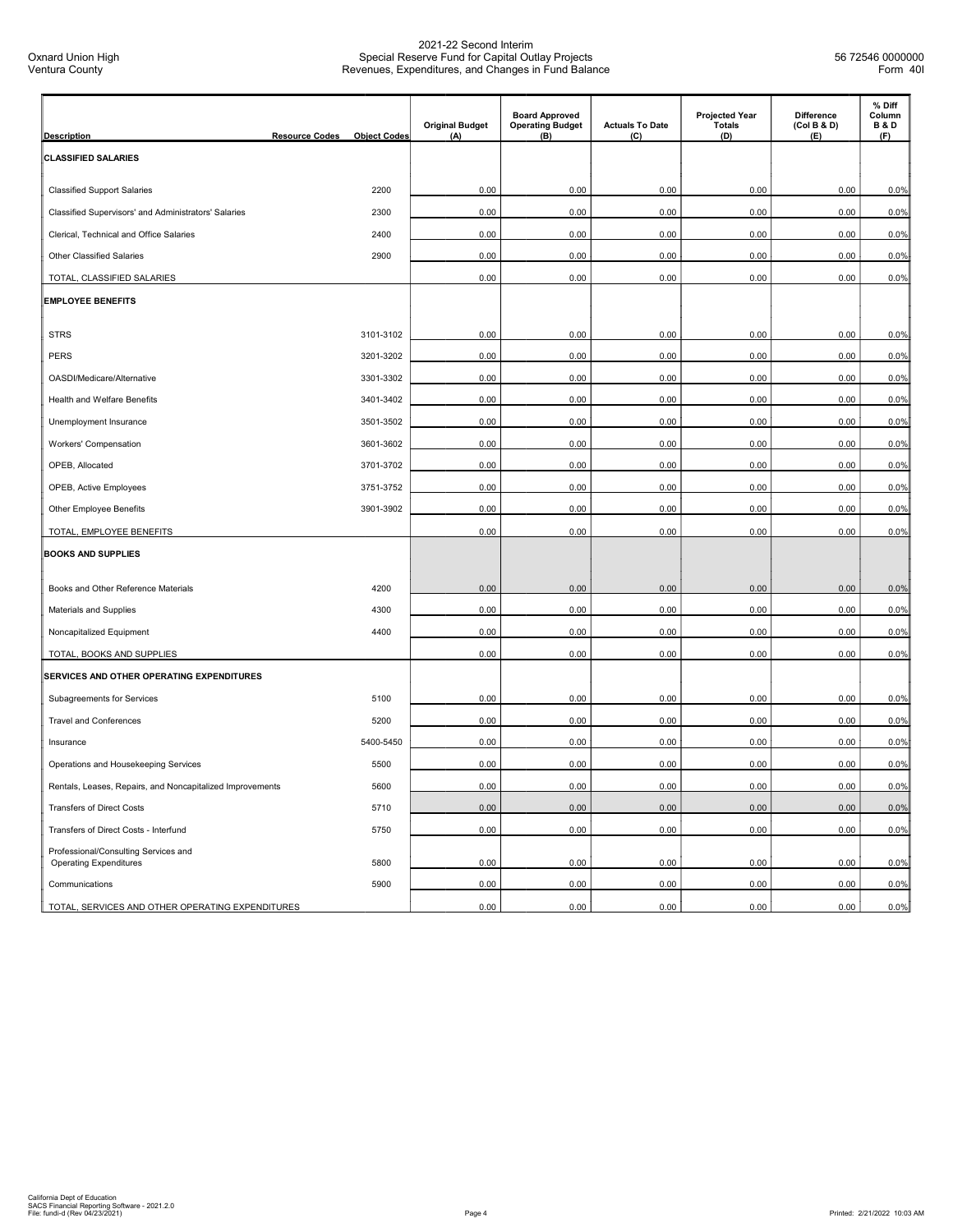| <b>Description</b>                                                    | <b>Resource Codes</b> | <b>Object Codes</b> | <b>Original Budget</b><br>(A) | <b>Board Approved</b><br><b>Operating Budget</b><br>(B) | <b>Actuals To Date</b><br>(C) | <b>Projected Year</b><br><b>Totals</b><br>(D) | <b>Difference</b><br>(Col B & D)<br>(E) | % Diff<br>Column<br><b>B&amp;D</b><br>(F) |
|-----------------------------------------------------------------------|-----------------------|---------------------|-------------------------------|---------------------------------------------------------|-------------------------------|-----------------------------------------------|-----------------------------------------|-------------------------------------------|
| <b>CLASSIFIED SALARIES</b>                                            |                       |                     |                               |                                                         |                               |                                               |                                         |                                           |
|                                                                       |                       |                     |                               |                                                         |                               |                                               |                                         |                                           |
| <b>Classified Support Salaries</b>                                    |                       | 2200                | 0.00                          | 0.00                                                    | 0.00                          | 0.00                                          | 0.00                                    | 0.0%                                      |
| Classified Supervisors' and Administrators' Salaries                  |                       | 2300                | 0.00                          | 0.00                                                    | 0.00                          | 0.00                                          | 0.00                                    | 0.0%                                      |
| Clerical, Technical and Office Salaries                               |                       | 2400                | 0.00                          | 0.00                                                    | 0.00                          | 0.00                                          | 0.00                                    | 0.0%                                      |
| <b>Other Classified Salaries</b>                                      |                       | 2900                | 0.00                          | 0.00                                                    | 0.00                          | 0.00                                          | 0.00                                    | 0.0%                                      |
| TOTAL, CLASSIFIED SALARIES                                            |                       |                     | 0.00                          | 0.00                                                    | 0.00                          | 0.00                                          | 0.00                                    | 0.0%                                      |
| <b>EMPLOYEE BENEFITS</b>                                              |                       |                     |                               |                                                         |                               |                                               |                                         |                                           |
| <b>STRS</b>                                                           |                       | 3101-3102           | 0.00                          | 0.00                                                    | 0.00                          | 0.00                                          | 0.00                                    | 0.0%                                      |
| <b>PERS</b>                                                           |                       | 3201-3202           | 0.00                          | 0.00                                                    | 0.00                          | 0.00                                          | 0.00                                    | 0.0%                                      |
| OASDI/Medicare/Alternative                                            |                       | 3301-3302           | 0.00                          | 0.00                                                    | 0.00                          | 0.00                                          | 0.00                                    | 0.0%                                      |
| Health and Welfare Benefits                                           |                       | 3401-3402           | 0.00                          | 0.00                                                    | 0.00                          | 0.00                                          | 0.00                                    | 0.0%                                      |
| Unemployment Insurance                                                |                       | 3501-3502           | 0.00                          | 0.00                                                    | 0.00                          | 0.00                                          | 0.00                                    | 0.0%                                      |
| Workers' Compensation                                                 |                       | 3601-3602           | 0.00                          | 0.00                                                    | 0.00                          | 0.00                                          | 0.00                                    | 0.0%                                      |
| OPEB, Allocated                                                       |                       | 3701-3702           | 0.00                          | 0.00                                                    | 0.00                          | 0.00                                          | 0.00                                    | 0.0%                                      |
| OPEB, Active Employees                                                |                       | 3751-3752           | 0.00                          | 0.00                                                    | 0.00                          | 0.00                                          | 0.00                                    | 0.0%                                      |
| Other Employee Benefits                                               |                       | 3901-3902           | 0.00                          | 0.00                                                    | 0.00                          | 0.00                                          | 0.00                                    | 0.0%                                      |
| TOTAL, EMPLOYEE BENEFITS                                              |                       |                     | 0.00                          | 0.00                                                    | 0.00                          | 0.00                                          | 0.00                                    | 0.0%                                      |
| <b>BOOKS AND SUPPLIES</b>                                             |                       |                     |                               |                                                         |                               |                                               |                                         |                                           |
|                                                                       |                       |                     |                               |                                                         |                               |                                               |                                         |                                           |
| Books and Other Reference Materials                                   |                       | 4200                | 0.00                          | 0.00                                                    | 0.00                          | 0.00                                          | 0.00                                    | 0.0%                                      |
| Materials and Supplies                                                |                       | 4300                | 0.00                          | 0.00                                                    | 0.00                          | 0.00                                          | 0.00                                    | 0.0%                                      |
| Noncapitalized Equipment                                              |                       | 4400                | 0.00                          | 0.00                                                    | 0.00                          | 0.00                                          | 0.00                                    | 0.0%                                      |
| TOTAL, BOOKS AND SUPPLIES                                             |                       |                     | 0.00                          | 0.00                                                    | 0.00                          | 0.00                                          | 0.00                                    | 0.0%                                      |
| SERVICES AND OTHER OPERATING EXPENDITURES                             |                       |                     |                               |                                                         |                               |                                               |                                         |                                           |
| Subagreements for Services                                            |                       | 5100                | 0.00                          | 0.00                                                    | 0.00                          | 0.00                                          | 0.00                                    | 0.0%                                      |
| <b>Travel and Conferences</b>                                         |                       | 5200                | 0.00                          | 0.00                                                    | 0.00                          | 0.00                                          | 0.00                                    | 0.0%                                      |
| Insurance                                                             |                       | 5400-5450           | 0.00                          | 0.00                                                    | 0.00                          | 0.00                                          | 0.00                                    | 0.0%                                      |
| Operations and Housekeeping Services                                  |                       | 5500                | 0.00                          | 0.00                                                    | 0.00                          | 0.00                                          | 0.00                                    | 0.0%                                      |
| Rentals, Leases, Repairs, and Noncapitalized Improvements             |                       | 5600                | 0.00                          | 0.00                                                    | 0.00                          | 0.00                                          | 0.00                                    | 0.0%                                      |
| <b>Transfers of Direct Costs</b>                                      |                       | 5710                | 0.00                          | 0.00                                                    | 0.00                          | 0.00                                          | 0.00                                    | 0.0%                                      |
| Transfers of Direct Costs - Interfund                                 |                       | 5750                | 0.00                          | 0.00                                                    | 0.00                          | 0.00                                          | 0.00                                    | 0.0%                                      |
| Professional/Consulting Services and<br><b>Operating Expenditures</b> |                       | 5800                | 0.00                          | 0.00                                                    | 0.00                          | 0.00                                          | 0.00                                    | 0.0%                                      |
| Communications                                                        |                       | 5900                | 0.00                          | 0.00                                                    | 0.00                          | 0.00                                          | 0.00                                    | 0.0%                                      |
| TOTAL, SERVICES AND OTHER OPERATING EXPENDITURES                      |                       |                     | 0.00                          | 0.00                                                    | 0.00                          | 0.00                                          | 0.00                                    | 0.0%                                      |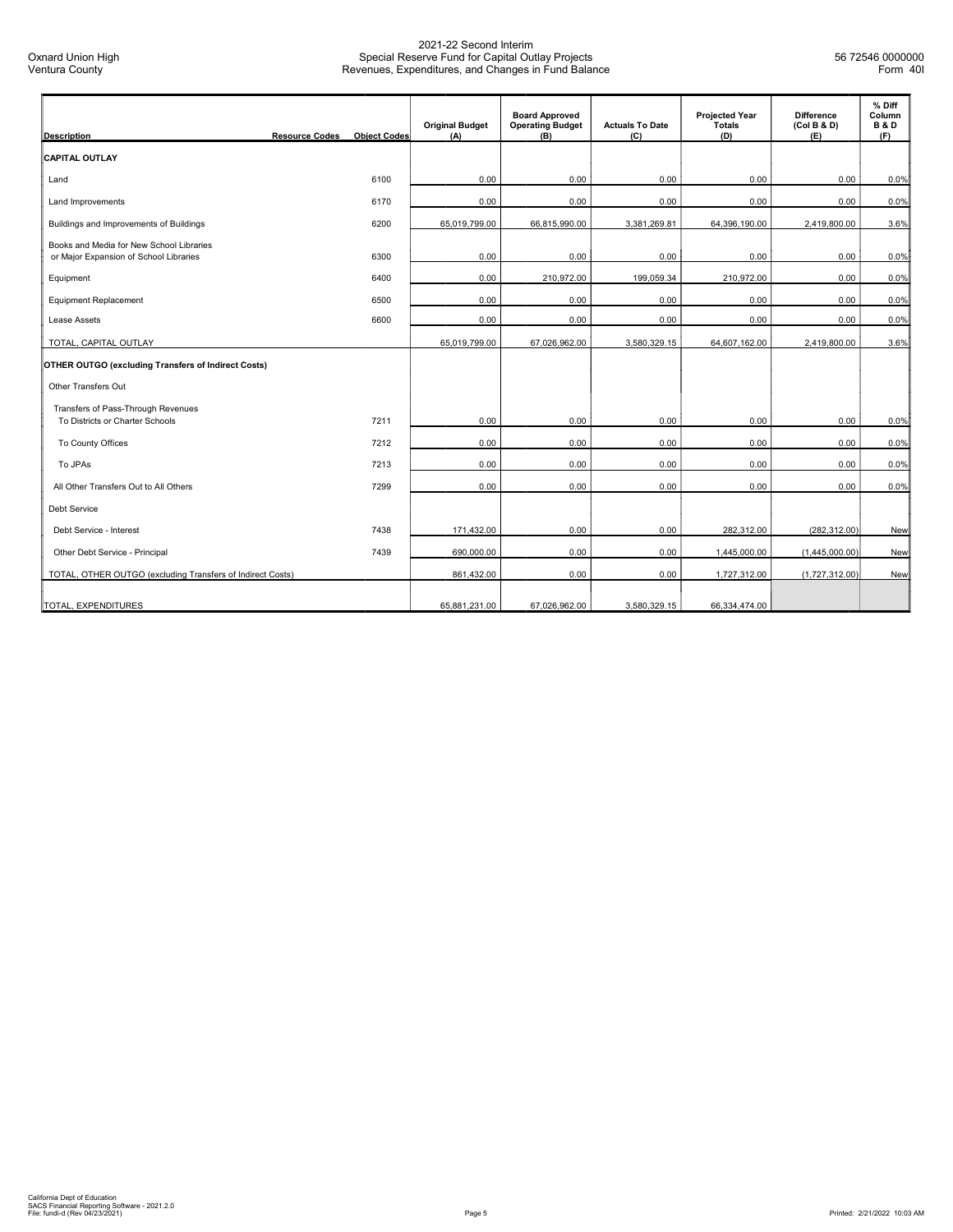| <b>Description</b>                                                                 | <b>Resource Codes</b> | <b>Object Codes</b> | <b>Original Budget</b><br>(A) | <b>Board Approved</b><br><b>Operating Budget</b><br>(B) | <b>Actuals To Date</b><br>(C) | <b>Projected Year</b><br><b>Totals</b><br>(D) | <b>Difference</b><br>(Col B & D)<br>(E) | % Diff<br>Column<br><b>B&amp;D</b><br>(F) |
|------------------------------------------------------------------------------------|-----------------------|---------------------|-------------------------------|---------------------------------------------------------|-------------------------------|-----------------------------------------------|-----------------------------------------|-------------------------------------------|
| <b>CAPITAL OUTLAY</b>                                                              |                       |                     |                               |                                                         |                               |                                               |                                         |                                           |
| Land                                                                               |                       | 6100                | 0.00                          | 0.00                                                    | 0.00                          | 0.00                                          | 0.00                                    | 0.0%                                      |
| Land Improvements                                                                  |                       | 6170                | 0.00                          | 0.00                                                    | 0.00                          | 0.00                                          | 0.00                                    | 0.0%                                      |
| Buildings and Improvements of Buildings                                            |                       | 6200                | 65,019,799.00                 | 66,815,990.00                                           | 3,381,269.81                  | 64,396,190.00                                 | 2,419,800.00                            | 3.6%                                      |
| Books and Media for New School Libraries<br>or Major Expansion of School Libraries |                       | 6300                | 0.00                          | 0.00                                                    | 0.00                          | 0.00                                          | 0.00                                    | 0.0%                                      |
| Equipment                                                                          |                       | 6400                | 0.00                          | 210,972.00                                              | 199,059.34                    | 210,972.00                                    | 0.00                                    | 0.0%                                      |
| Equipment Replacement                                                              |                       | 6500                | 0.00                          | 0.00                                                    | 0.00                          | 0.00                                          | 0.00                                    | 0.0%                                      |
| Lease Assets                                                                       |                       | 6600                | 0.00                          | 0.00                                                    | 0.00                          | 0.00                                          | 0.00                                    | 0.0%                                      |
| TOTAL, CAPITAL OUTLAY                                                              |                       |                     | 65,019,799.00                 | 67,026,962.00                                           | 3,580,329.15                  | 64,607,162.00                                 | 2,419,800.00                            | 3.6%                                      |
| OTHER OUTGO (excluding Transfers of Indirect Costs)                                |                       |                     |                               |                                                         |                               |                                               |                                         |                                           |
| Other Transfers Out                                                                |                       |                     |                               |                                                         |                               |                                               |                                         |                                           |
| Transfers of Pass-Through Revenues<br>To Districts or Charter Schools              |                       | 7211                | 0.00                          | 0.00                                                    | 0.00                          | 0.00                                          | 0.00                                    | 0.0%                                      |
| To County Offices                                                                  |                       | 7212                | 0.00                          | 0.00                                                    | 0.00                          | 0.00                                          | 0.00                                    | 0.0%                                      |
| To JPAs                                                                            |                       | 7213                | 0.00                          | 0.00                                                    | 0.00                          | 0.00                                          | 0.00                                    | 0.0%                                      |
| All Other Transfers Out to All Others                                              |                       | 7299                | 0.00                          | 0.00                                                    | 0.00                          | 0.00                                          | 0.00                                    | 0.0%                                      |
| <b>Debt Service</b>                                                                |                       |                     |                               |                                                         |                               |                                               |                                         |                                           |
| Debt Service - Interest                                                            |                       | 7438                | 171.432.00                    | 0.00                                                    | 0.00                          | 282.312.00                                    | (282, 312.00)                           | New                                       |
| Other Debt Service - Principal                                                     |                       | 7439                | 690,000.00                    | 0.00                                                    | 0.00                          | 1,445,000.00                                  | (1,445,000.00)                          | New                                       |
| TOTAL, OTHER OUTGO (excluding Transfers of Indirect Costs)                         |                       |                     | 861,432.00                    | 0.00                                                    | 0.00                          | 1,727,312.00                                  | (1,727,312.00)                          | New                                       |
| TOTAL, EXPENDITURES                                                                |                       |                     | 65,881,231.00                 | 67,026,962.00                                           | 3,580,329.15                  | 66,334,474.00                                 |                                         |                                           |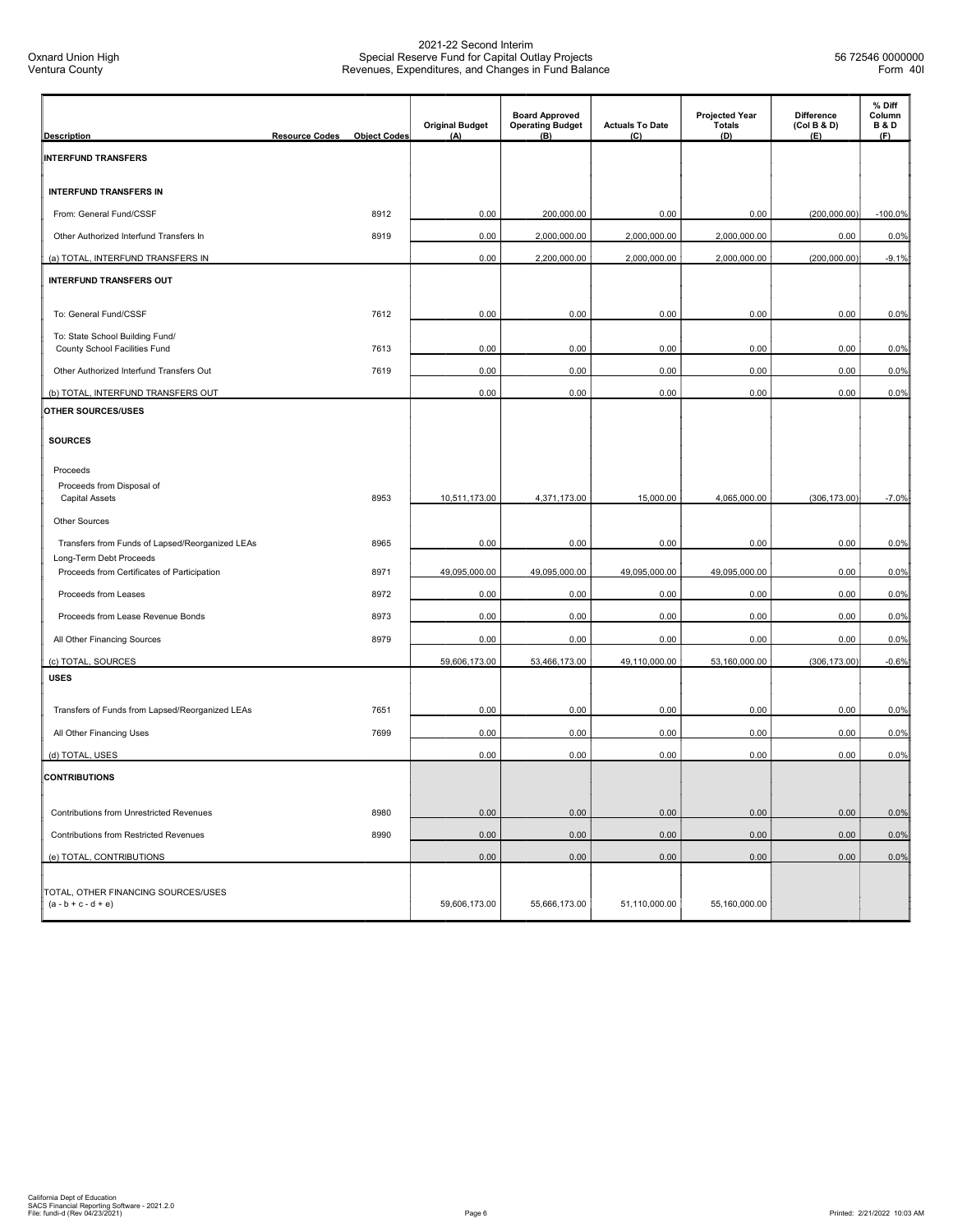| <b>Description</b>                                                        | <b>Resource Codes</b> | <b>Object Codes</b> | <b>Original Budget</b><br>(A) | <b>Board Approved</b><br><b>Operating Budget</b><br>(B) | <b>Actuals To Date</b><br>(C) | <b>Projected Year</b><br><b>Totals</b><br>(D) | <b>Difference</b><br>(Col B & D)<br>(E) | % Diff<br>Column<br><b>B&amp;D</b><br>(F) |
|---------------------------------------------------------------------------|-----------------------|---------------------|-------------------------------|---------------------------------------------------------|-------------------------------|-----------------------------------------------|-----------------------------------------|-------------------------------------------|
| <b>INTERFUND TRANSFERS</b>                                                |                       |                     |                               |                                                         |                               |                                               |                                         |                                           |
| <b>INTERFUND TRANSFERS IN</b>                                             |                       |                     |                               |                                                         |                               |                                               |                                         |                                           |
| From: General Fund/CSSF                                                   |                       | 8912                | 0.00                          | 200,000.00                                              | 0.00                          | 0.00                                          | (200,000.00)                            | $-100.0%$                                 |
| Other Authorized Interfund Transfers In                                   |                       | 8919                | 0.00                          | 2,000,000.00                                            | 2,000,000.00                  | 2,000,000.00                                  | 0.00                                    | 0.0%                                      |
| (a) TOTAL, INTERFUND TRANSFERS IN                                         |                       |                     | 0.00                          | 2,200,000.00                                            | 2,000,000.00                  | 2,000,000.00                                  | (200,000.00)                            | $-9.1%$                                   |
| <b>INTERFUND TRANSFERS OUT</b>                                            |                       |                     |                               |                                                         |                               |                                               |                                         |                                           |
| To: General Fund/CSSF                                                     |                       | 7612                | 0.00                          | 0.00                                                    | 0.00                          | 0.00                                          | 0.00                                    | 0.0%                                      |
| To: State School Building Fund/                                           |                       | 7613                | 0.00                          | 0.00                                                    | 0.00                          | 0.00                                          | 0.00                                    |                                           |
| County School Facilities Fund<br>Other Authorized Interfund Transfers Out |                       | 7619                | 0.00                          | 0.00                                                    | 0.00                          | 0.00                                          | 0.00                                    | 0.0%<br>0.0%                              |
|                                                                           |                       |                     |                               |                                                         |                               | 0.00                                          |                                         |                                           |
| (b) TOTAL, INTERFUND TRANSFERS OUT<br><b>OTHER SOURCES/USES</b>           |                       |                     | 0.00                          | 0.00                                                    | 0.00                          |                                               | 0.00                                    | 0.0%                                      |
|                                                                           |                       |                     |                               |                                                         |                               |                                               |                                         |                                           |
| <b>SOURCES</b>                                                            |                       |                     |                               |                                                         |                               |                                               |                                         |                                           |
| Proceeds                                                                  |                       |                     |                               |                                                         |                               |                                               |                                         |                                           |
| Proceeds from Disposal of<br><b>Capital Assets</b>                        |                       | 8953                | 10,511,173.00                 | 4,371,173.00                                            | 15,000.00                     | 4,065,000.00                                  | (306, 173.00)                           | $-7.0%$                                   |
| <b>Other Sources</b>                                                      |                       |                     |                               |                                                         |                               |                                               |                                         |                                           |
| Transfers from Funds of Lapsed/Reorganized LEAs                           |                       | 8965                | 0.00                          | 0.00                                                    | 0.00                          | 0.00                                          | 0.00                                    | 0.0%                                      |
| Long-Term Debt Proceeds                                                   |                       |                     |                               |                                                         |                               |                                               |                                         |                                           |
| Proceeds from Certificates of Participation                               |                       | 8971                | 49,095,000.00                 | 49,095,000.00                                           | 49,095,000.00                 | 49,095,000.00                                 | 0.00                                    | 0.0%                                      |
| Proceeds from Leases                                                      |                       | 8972                | 0.00                          | 0.00                                                    | 0.00                          | 0.00                                          | 0.00                                    | 0.0%                                      |
| Proceeds from Lease Revenue Bonds                                         |                       | 8973                | 0.00                          | 0.00                                                    | 0.00                          | 0.00                                          | 0.00                                    | 0.0%                                      |
| All Other Financing Sources                                               |                       | 8979                | 0.00                          | 0.00                                                    | 0.00                          | 0.00                                          | 0.00                                    | 0.0%                                      |
| (c) TOTAL, SOURCES                                                        |                       |                     | 59,606,173.00                 | 53,466,173.00                                           | 49,110,000.00                 | 53,160,000.00                                 | (306, 173.00)                           | $-0.6%$                                   |
| <b>USES</b>                                                               |                       |                     |                               |                                                         |                               |                                               |                                         |                                           |
| Transfers of Funds from Lapsed/Reorganized LEAs                           |                       | 7651                | 0.00                          | 0.00                                                    | 0.00                          | 0.00                                          | 0.00                                    | 0.0%                                      |
| All Other Financing Uses                                                  |                       | 7699                | 0.00                          | 0.00                                                    | 0.00                          | 0.00                                          | 0.00                                    | 0.0%                                      |
| (d) TOTAL, USES                                                           |                       |                     | 0.00                          | 0.00                                                    | 0.00                          | 0.00                                          | 0.00                                    | 0.0%                                      |
| <b>CONTRIBUTIONS</b>                                                      |                       |                     |                               |                                                         |                               |                                               |                                         |                                           |
| Contributions from Unrestricted Revenues                                  |                       | 8980                | 0.00                          | 0.00                                                    | 0.00                          | 0.00                                          | 0.00                                    | 0.0%                                      |
| Contributions from Restricted Revenues                                    |                       | 8990                | 0.00                          | 0.00                                                    | 0.00                          | 0.00                                          | 0.00                                    | 0.0%                                      |
| (e) TOTAL, CONTRIBUTIONS                                                  |                       |                     | 0.00                          | 0.00                                                    | 0.00                          | 0.00                                          | 0.00                                    | 0.0%                                      |
| TOTAL, OTHER FINANCING SOURCES/USES<br>$(a - b + c - d + e)$              |                       |                     | 59,606,173.00                 | 55,666,173.00                                           | 51,110,000.00                 | 55,160,000.00                                 |                                         |                                           |